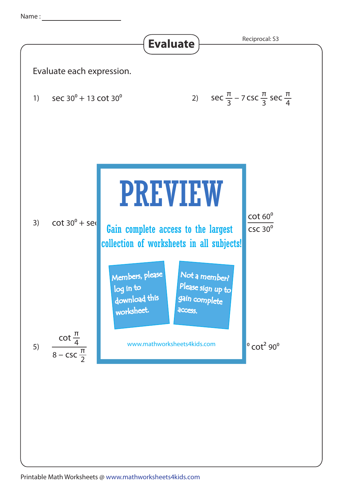